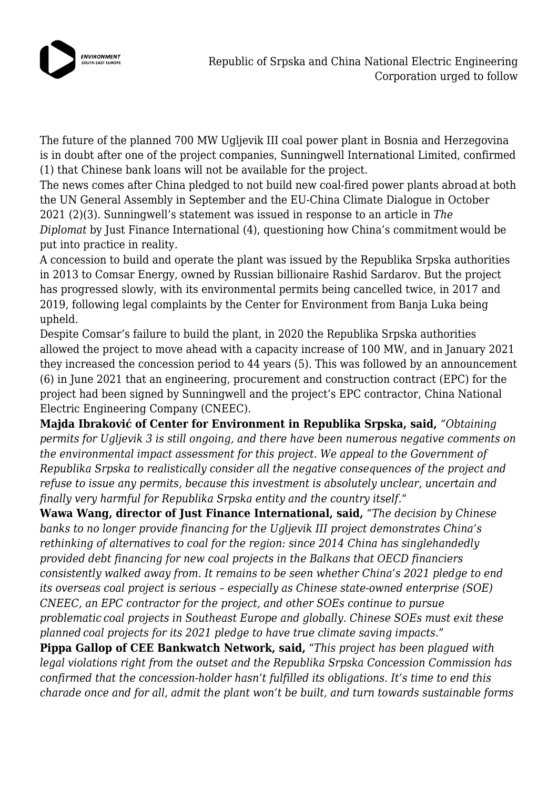

The future of the planned 700 MW Ugljevik III coal power plant in Bosnia and Herzegovina is in doubt after one of the project companies, Sunningwell International Limited, confirmed (1) that Chinese bank loans will not be available for the project.

The news comes after China pledged to not build new coal-fired power plants abroad at both the UN General Assembly in September and the EU-China Climate Dialogue in October 2021 (2)(3). Sunningwell's statement was issued in response to an article in *The Diplomat* by Just Finance International (4), questioning how China's commitment would be put into practice in reality.

A concession to build and operate the plant was issued by the Republika Srpska authorities in 2013 to Comsar Energy, owned by Russian billionaire Rashid Sardarov. But the project has progressed slowly, with its environmental permits being cancelled twice, in 2017 and 2019, following legal complaints by the Center for Environment from Banja Luka being upheld.

Despite Comsar's failure to build the plant, in 2020 the Republika Srpska authorities allowed the project to move ahead with a capacity increase of 100 MW, and in January 2021 they increased the concession period to 44 years (5). This was followed by an announcement (6) in June 2021 that an engineering, procurement and construction contract (EPC) for the project had been signed by Sunningwell and the project's EPC contractor, China National Electric Engineering Company (CNEEC).

**Majda Ibraković of Center for Environment in Republika Srpska, said,** *"Obtaining permits for Ugljevik 3 is still ongoing, and there have been numerous negative comments on the environmental impact assessment for this project. We appeal to the Government of Republika Srpska to realistically consider all the negative consequences of the project and refuse to issue any permits, because this investment is absolutely unclear, uncertain and finally very harmful for Republika Srpska entity and the country itself.*"

**Wawa Wang, director of Just Finance International, said,** *"The decision by Chinese banks to no longer provide financing for the Ugljevik III project demonstrates China's rethinking of alternatives to coal for the region: since 2014 China has singlehandedly provided debt financing for new coal projects in the Balkans that OECD financiers consistently walked away from. It remains to be seen whether China's 2021 pledge to end its overseas coal project is serious – especially as Chinese state-owned enterprise (SOE) CNEEC, an EPC contractor for the project, and other SOEs continue to pursue problematic coal projects in Southeast Europe and globally. Chinese SOEs must exit these planned coal projects for its 2021 pledge to have true climate saving impacts."*

**Pippa Gallop of CEE Bankwatch Network, said,** "*This project has been plagued with legal violations right from the outset and the Republika Srpska Concession Commission has confirmed that the concession-holder hasn't fulfilled its obligations. It's time to end this charade once and for all, admit the plant won't be built, and turn towards sustainable forms*